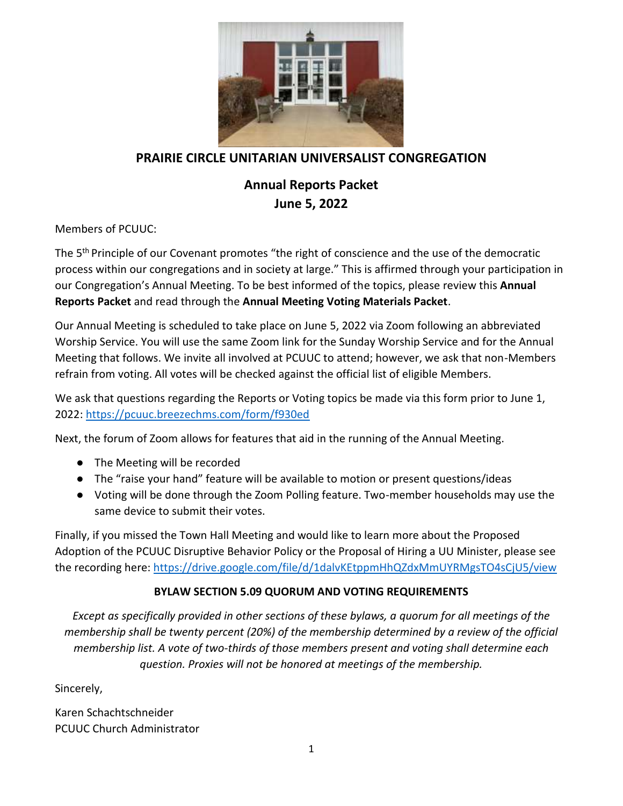

## **PRAIRIE CIRCLE UNITARIAN UNIVERSALIST CONGREGATION**

# **Annual Reports Packet June 5, 2022**

Members of PCUUC:

The 5<sup>th</sup> Principle of our Covenant promotes "the right of conscience and the use of the democratic process within our congregations and in society at large." This is affirmed through your participation in our Congregation's Annual Meeting. To be best informed of the topics, please review this **Annual Reports Packet** and read through the **Annual Meeting Voting Materials Packet**.

Our Annual Meeting is scheduled to take place on June 5, 2022 via Zoom following an abbreviated Worship Service. You will use the same Zoom link for the Sunday Worship Service and for the Annual Meeting that follows. We invite all involved at PCUUC to attend; however, we ask that non-Members refrain from voting. All votes will be checked against the official list of eligible Members.

We ask that questions regarding the Reports or Voting topics be made via this form prior to June 1, 2022:<https://pcuuc.breezechms.com/form/f930ed>

Next, the forum of Zoom allows for features that aid in the running of the Annual Meeting.

- The Meeting will be recorded
- The "raise your hand" feature will be available to motion or present questions/ideas
- Voting will be done through the Zoom Polling feature. Two-member households may use the same device to submit their votes.

Finally, if you missed the Town Hall Meeting and would like to learn more about the Proposed Adoption of the PCUUC Disruptive Behavior Policy or the Proposal of Hiring a UU Minister, please see the recording here:<https://drive.google.com/file/d/1dalvKEtppmHhQZdxMmUYRMgsTO4sCjU5/view>

#### **BYLAW SECTION 5.09 QUORUM AND VOTING REQUIREMENTS**

*Except as specifically provided in other sections of these bylaws, a quorum for all meetings of the membership shall be twenty percent (20%) of the membership determined by a review of the official membership list. A vote of two-thirds of those members present and voting shall determine each question. Proxies will not be honored at meetings of the membership.*

Sincerely,

Karen Schachtschneider PCUUC Church Administrator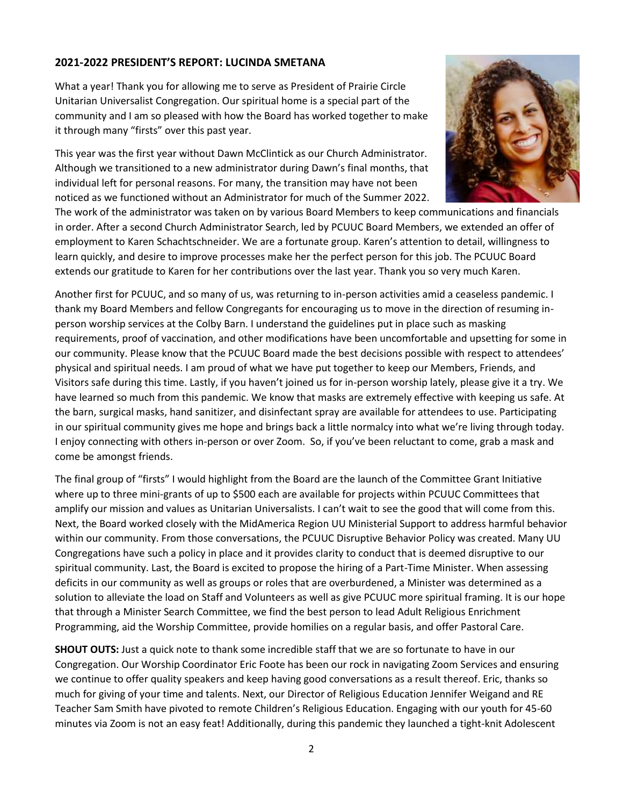#### **2021-2022 PRESIDENT'S REPORT: LUCINDA SMETANA**

What a year! Thank you for allowing me to serve as President of Prairie Circle Unitarian Universalist Congregation. Our spiritual home is a special part of the community and I am so pleased with how the Board has worked together to make it through many "firsts" over this past year.

This year was the first year without Dawn McClintick as our Church Administrator. Although we transitioned to a new administrator during Dawn's final months, that individual left for personal reasons. For many, the transition may have not been noticed as we functioned without an Administrator for much of the Summer 2022.



The work of the administrator was taken on by various Board Members to keep communications and financials in order. After a second Church Administrator Search, led by PCUUC Board Members, we extended an offer of employment to Karen Schachtschneider. We are a fortunate group. Karen's attention to detail, willingness to learn quickly, and desire to improve processes make her the perfect person for this job. The PCUUC Board extends our gratitude to Karen for her contributions over the last year. Thank you so very much Karen.

Another first for PCUUC, and so many of us, was returning to in-person activities amid a ceaseless pandemic. I thank my Board Members and fellow Congregants for encouraging us to move in the direction of resuming inperson worship services at the Colby Barn. I understand the guidelines put in place such as masking requirements, proof of vaccination, and other modifications have been uncomfortable and upsetting for some in our community. Please know that the PCUUC Board made the best decisions possible with respect to attendees' physical and spiritual needs. I am proud of what we have put together to keep our Members, Friends, and Visitors safe during this time. Lastly, if you haven't joined us for in-person worship lately, please give it a try. We have learned so much from this pandemic. We know that masks are extremely effective with keeping us safe. At the barn, surgical masks, hand sanitizer, and disinfectant spray are available for attendees to use. Participating in our spiritual community gives me hope and brings back a little normalcy into what we're living through today. I enjoy connecting with others in-person or over Zoom. So, if you've been reluctant to come, grab a mask and come be amongst friends.

The final group of "firsts" I would highlight from the Board are the launch of the Committee Grant Initiative where up to three mini-grants of up to \$500 each are available for projects within PCUUC Committees that amplify our mission and values as Unitarian Universalists. I can't wait to see the good that will come from this. Next, the Board worked closely with the MidAmerica Region UU Ministerial Support to address harmful behavior within our community. From those conversations, the PCUUC Disruptive Behavior Policy was created. Many UU Congregations have such a policy in place and it provides clarity to conduct that is deemed disruptive to our spiritual community. Last, the Board is excited to propose the hiring of a Part-Time Minister. When assessing deficits in our community as well as groups or roles that are overburdened, a Minister was determined as a solution to alleviate the load on Staff and Volunteers as well as give PCUUC more spiritual framing. It is our hope that through a Minister Search Committee, we find the best person to lead Adult Religious Enrichment Programming, aid the Worship Committee, provide homilies on a regular basis, and offer Pastoral Care.

**SHOUT OUTS:** Just a quick note to thank some incredible staff that we are so fortunate to have in our Congregation. Our Worship Coordinator Eric Foote has been our rock in navigating Zoom Services and ensuring we continue to offer quality speakers and keep having good conversations as a result thereof. Eric, thanks so much for giving of your time and talents. Next, our Director of Religious Education Jennifer Weigand and RE Teacher Sam Smith have pivoted to remote Children's Religious Education. Engaging with our youth for 45-60 minutes via Zoom is not an easy feat! Additionally, during this pandemic they launched a tight-knit Adolescent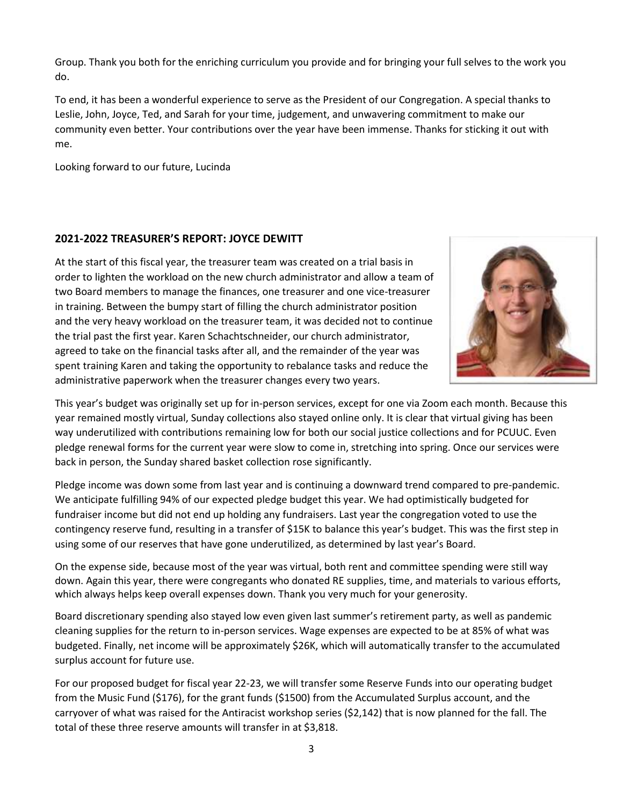Group. Thank you both for the enriching curriculum you provide and for bringing your full selves to the work you do.

To end, it has been a wonderful experience to serve as the President of our Congregation. A special thanks to Leslie, John, Joyce, Ted, and Sarah for your time, judgement, and unwavering commitment to make our community even better. Your contributions over the year have been immense. Thanks for sticking it out with me.

Looking forward to our future, Lucinda

#### **2021-2022 TREASURER'S REPORT: JOYCE DEWITT**

At the start of this fiscal year, the treasurer team was created on a trial basis in order to lighten the workload on the new church administrator and allow a team of two Board members to manage the finances, one treasurer and one vice-treasurer in training. Between the bumpy start of filling the church administrator position and the very heavy workload on the treasurer team, it was decided not to continue the trial past the first year. Karen Schachtschneider, our church administrator, agreed to take on the financial tasks after all, and the remainder of the year was spent training Karen and taking the opportunity to rebalance tasks and reduce the administrative paperwork when the treasurer changes every two years.



This year's budget was originally set up for in-person services, except for one via Zoom each month. Because this year remained mostly virtual, Sunday collections also stayed online only. It is clear that virtual giving has been way underutilized with contributions remaining low for both our social justice collections and for PCUUC. Even pledge renewal forms for the current year were slow to come in, stretching into spring. Once our services were back in person, the Sunday shared basket collection rose significantly.

Pledge income was down some from last year and is continuing a downward trend compared to pre-pandemic. We anticipate fulfilling 94% of our expected pledge budget this year. We had optimistically budgeted for fundraiser income but did not end up holding any fundraisers. Last year the congregation voted to use the contingency reserve fund, resulting in a transfer of \$15K to balance this year's budget. This was the first step in using some of our reserves that have gone underutilized, as determined by last year's Board.

On the expense side, because most of the year was virtual, both rent and committee spending were still way down. Again this year, there were congregants who donated RE supplies, time, and materials to various efforts, which always helps keep overall expenses down. Thank you very much for your generosity.

Board discretionary spending also stayed low even given last summer's retirement party, as well as pandemic cleaning supplies for the return to in-person services. Wage expenses are expected to be at 85% of what was budgeted. Finally, net income will be approximately \$26K, which will automatically transfer to the accumulated surplus account for future use.

For our proposed budget for fiscal year 22-23, we will transfer some Reserve Funds into our operating budget from the Music Fund (\$176), for the grant funds (\$1500) from the Accumulated Surplus account, and the carryover of what was raised for the Antiracist workshop series (\$2,142) that is now planned for the fall. The total of these three reserve amounts will transfer in at \$3,818.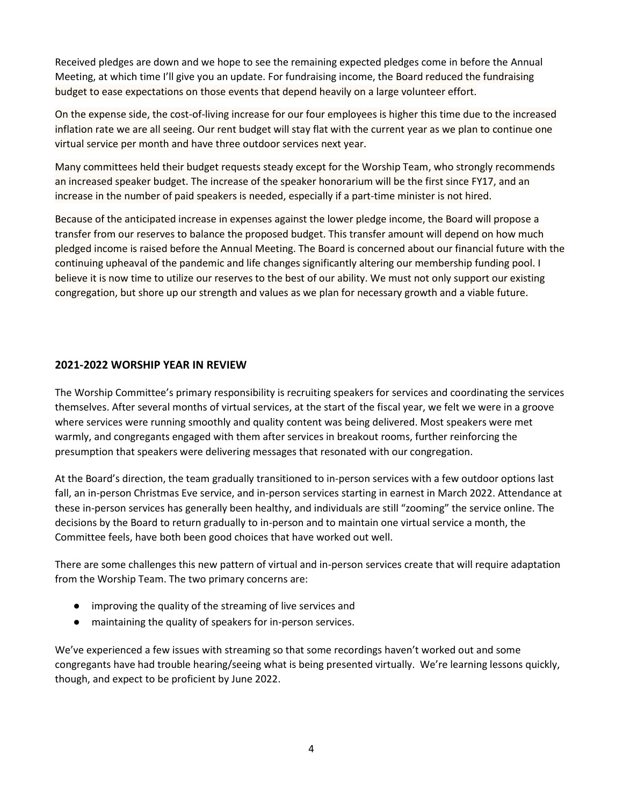Received pledges are down and we hope to see the remaining expected pledges come in before the Annual Meeting, at which time I'll give you an update. For fundraising income, the Board reduced the fundraising budget to ease expectations on those events that depend heavily on a large volunteer effort.

On the expense side, the cost-of-living increase for our four employees is higher this time due to the increased inflation rate we are all seeing. Our rent budget will stay flat with the current year as we plan to continue one virtual service per month and have three outdoor services next year.

Many committees held their budget requests steady except for the Worship Team, who strongly recommends an increased speaker budget. The increase of the speaker honorarium will be the first since FY17, and an increase in the number of paid speakers is needed, especially if a part-time minister is not hired.

Because of the anticipated increase in expenses against the lower pledge income, the Board will propose a transfer from our reserves to balance the proposed budget. This transfer amount will depend on how much pledged income is raised before the Annual Meeting. The Board is concerned about our financial future with the continuing upheaval of the pandemic and life changes significantly altering our membership funding pool. I believe it is now time to utilize our reserves to the best of our ability. We must not only support our existing congregation, but shore up our strength and values as we plan for necessary growth and a viable future.

#### **2021-2022 WORSHIP YEAR IN REVIEW**

The Worship Committee's primary responsibility is recruiting speakers for services and coordinating the services themselves. After several months of virtual services, at the start of the fiscal year, we felt we were in a groove where services were running smoothly and quality content was being delivered. Most speakers were met warmly, and congregants engaged with them after services in breakout rooms, further reinforcing the presumption that speakers were delivering messages that resonated with our congregation.

At the Board's direction, the team gradually transitioned to in-person services with a few outdoor options last fall, an in-person Christmas Eve service, and in-person services starting in earnest in March 2022. Attendance at these in-person services has generally been healthy, and individuals are still "zooming" the service online. The decisions by the Board to return gradually to in-person and to maintain one virtual service a month, the Committee feels, have both been good choices that have worked out well.

There are some challenges this new pattern of virtual and in-person services create that will require adaptation from the Worship Team. The two primary concerns are:

- improving the quality of the streaming of live services and
- maintaining the quality of speakers for in-person services.

We've experienced a few issues with streaming so that some recordings haven't worked out and some congregants have had trouble hearing/seeing what is being presented virtually. We're learning lessons quickly, though, and expect to be proficient by June 2022.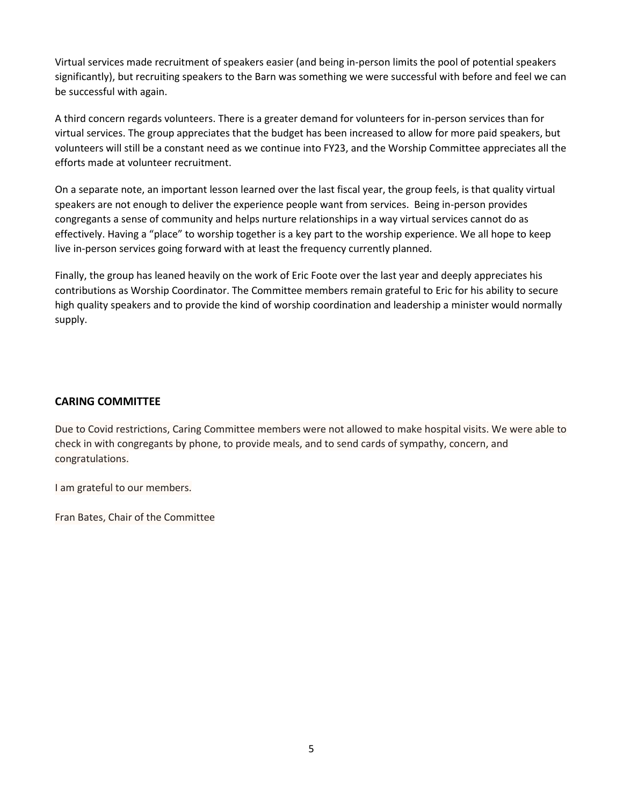Virtual services made recruitment of speakers easier (and being in-person limits the pool of potential speakers significantly), but recruiting speakers to the Barn was something we were successful with before and feel we can be successful with again.

A third concern regards volunteers. There is a greater demand for volunteers for in-person services than for virtual services. The group appreciates that the budget has been increased to allow for more paid speakers, but volunteers will still be a constant need as we continue into FY23, and the Worship Committee appreciates all the efforts made at volunteer recruitment.

On a separate note, an important lesson learned over the last fiscal year, the group feels, is that quality virtual speakers are not enough to deliver the experience people want from services. Being in-person provides congregants a sense of community and helps nurture relationships in a way virtual services cannot do as effectively. Having a "place" to worship together is a key part to the worship experience. We all hope to keep live in-person services going forward with at least the frequency currently planned.

Finally, the group has leaned heavily on the work of Eric Foote over the last year and deeply appreciates his contributions as Worship Coordinator. The Committee members remain grateful to Eric for his ability to secure high quality speakers and to provide the kind of worship coordination and leadership a minister would normally supply.

#### **CARING COMMITTEE**

Due to Covid restrictions, Caring Committee members were not allowed to make hospital visits. We were able to check in with congregants by phone, to provide meals, and to send cards of sympathy, concern, and congratulations.

I am grateful to our members.

Fran Bates, Chair of the Committee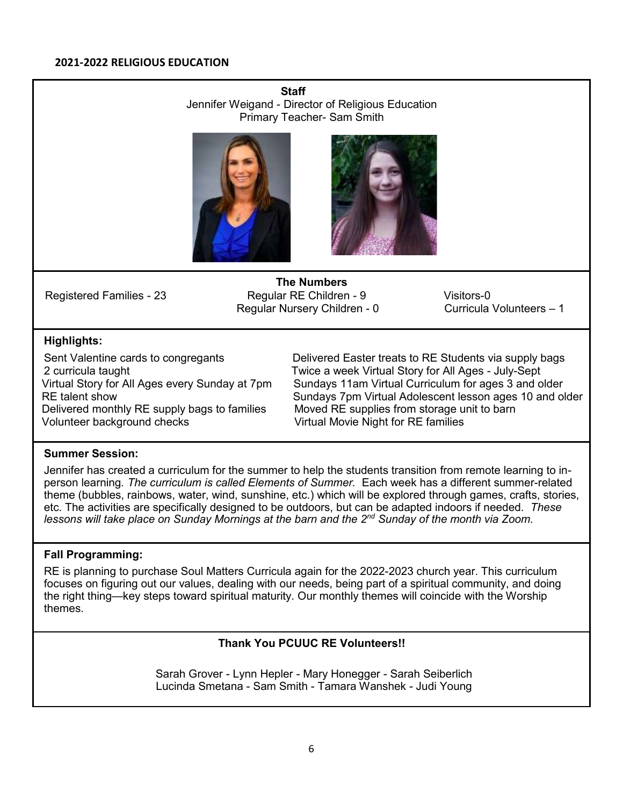**Staff** Jennifer Weigand - Director of Religious Education Primary Teacher- Sam Smith





**The Numbers** Registered Families - 23 Regular RE Children - 9 Visitors-0<br>Regular Nursery Children - 0 Curricula Volunteers – 1 Regular Nursery Children - 0

#### **Highlights:**

Delivered monthly RE supply bags to families Moved RE supplies from storage unit to barn<br>Virtual Movie Night for RE families

Sent Valentine cards to congregants **Delivered Easter treats to RE Students via supply bags** 2 curricula taught Twice a week Virtual Story for All Ages - July-Sept Virtual Story for All Ages every Sunday at 7pm Sundays 11am Virtual Curriculum for ages 3 and older RE talent show **Sundays 7pm Virtual Adolescent lesson ages 10 and older** RE talent show Virtual Movie Night for RE families

#### **Summer Session:**

Jennifer has created a curriculum for the summer to help the students transition from remote learning to inperson learning*. The curriculum is called Elements of Summer.* Each week has a different summer-related theme (bubbles, rainbows, water, wind, sunshine, etc.) which will be explored through games, crafts, stories, etc. The activities are specifically designed to be outdoors, but can be adapted indoors if needed. *These lessons will take place on Sunday Mornings at the barn and the 2nd Sunday of the month via Zoom.*

#### **Fall Programming:**

RE is planning to purchase Soul Matters Curricula again for the 2022-2023 church year. This curriculum focuses on figuring out our values, dealing with our needs, being part of a spiritual community, and doing the right thing—key steps toward spiritual maturity. Our monthly themes will coincide with the Worship themes.

#### **Thank You PCUUC RE Volunteers!!**

Sarah Grover - Lynn Hepler - Mary Honegger - Sarah Seiberlich Lucinda Smetana - Sam Smith - Tamara Wanshek - Judi Young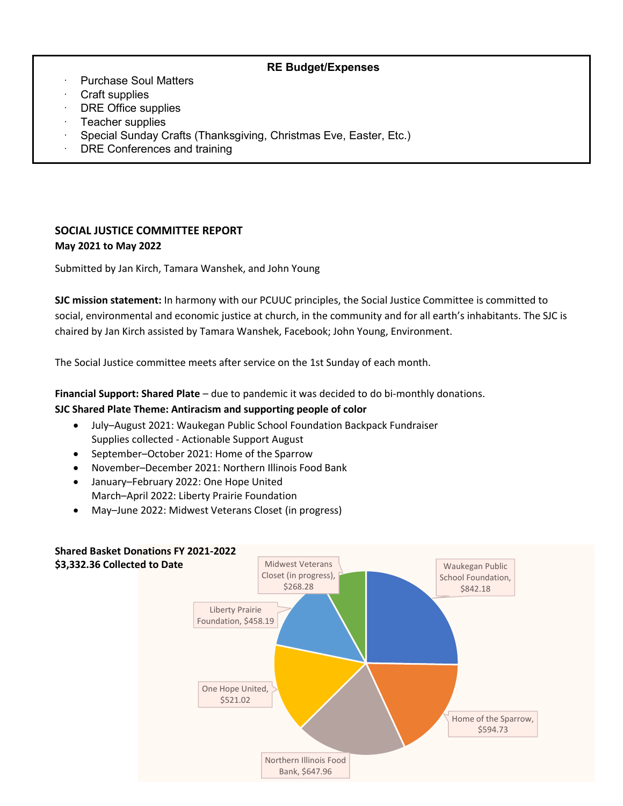#### **RE Budget/Expenses**

- Purchase Soul Matters
- · Craft supplies
- DRE Office supplies
- Teacher supplies
- · Special Sunday Crafts (Thanksgiving, Christmas Eve, Easter, Etc.)
- DRE Conferences and training

### **SOCIAL JUSTICE COMMITTEE REPORT May 2021 to May 2022**

Submitted by Jan Kirch, Tamara Wanshek, and John Young

**SJC mission statement:** In harmony with our PCUUC principles, the Social Justice Committee is committed to social, environmental and economic justice at church, in the community and for all earth's inhabitants. The SJC is chaired by Jan Kirch assisted by Tamara Wanshek, Facebook; John Young, Environment.

The Social Justice committee meets after service on the 1st Sunday of each month.

**Financial Support: Shared Plate** – due to pandemic it was decided to do bi-monthly donations.

#### **SJC Shared Plate Theme: Antiracism and supporting people of color**

- July–August 2021: Waukegan Public School Foundation Backpack Fundraiser Supplies collected - Actionable Support August
- September–October 2021: Home of the Sparrow
- November–December 2021: Northern Illinois Food Bank
- January–February 2022: One Hope United March–April 2022: Liberty Prairie Foundation
- May–June 2022: Midwest Veterans Closet (in progress)

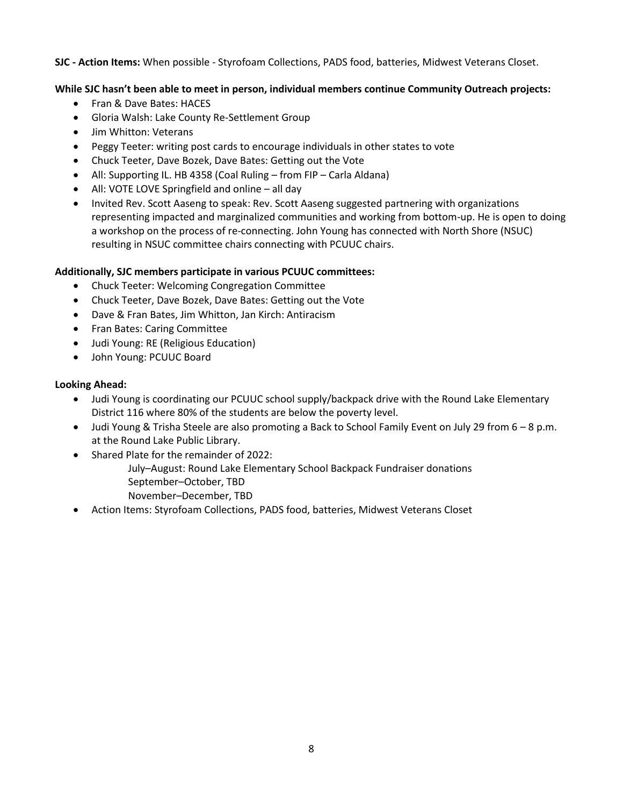#### **SJC - Action Items:** When possible - Styrofoam Collections, PADS food, batteries, Midwest Veterans Closet.

#### **While SJC hasn't been able to meet in person, individual members continue Community Outreach projects:**

- Fran & Dave Bates: HACES
- Gloria Walsh: Lake County Re-Settlement Group
- Jim Whitton: Veterans
- Peggy Teeter: writing post cards to encourage individuals in other states to vote
- Chuck Teeter, Dave Bozek, Dave Bates: Getting out the Vote
- All: Supporting IL. HB 4358 (Coal Ruling from FIP Carla Aldana)
- All: VOTE LOVE Springfield and online all day
- Invited Rev. Scott Aaseng to speak: Rev. Scott Aaseng suggested partnering with organizations representing impacted and marginalized communities and working from bottom-up. He is open to doing a workshop on the process of re-connecting. John Young has connected with North Shore (NSUC) resulting in NSUC committee chairs connecting with PCUUC chairs.

#### **Additionally, SJC members participate in various PCUUC committees:**

- Chuck Teeter: Welcoming Congregation Committee
- Chuck Teeter, Dave Bozek, Dave Bates: Getting out the Vote
- Dave & Fran Bates, Jim Whitton, Jan Kirch: Antiracism
- Fran Bates: Caring Committee
- Judi Young: RE (Religious Education)
- John Young: PCUUC Board

#### **Looking Ahead:**

- Judi Young is coordinating our PCUUC school supply/backpack drive with the Round Lake Elementary District 116 where 80% of the students are below the poverty level.
- Judi Young & Trisha Steele are also promoting a Back to School Family Event on July 29 from 6 8 p.m. at the Round Lake Public Library.
- Shared Plate for the remainder of 2022:
	- July–August: Round Lake Elementary School Backpack Fundraiser donations September–October, TBD
		- November–December, TBD
- Action Items: Styrofoam Collections, PADS food, batteries, Midwest Veterans Closet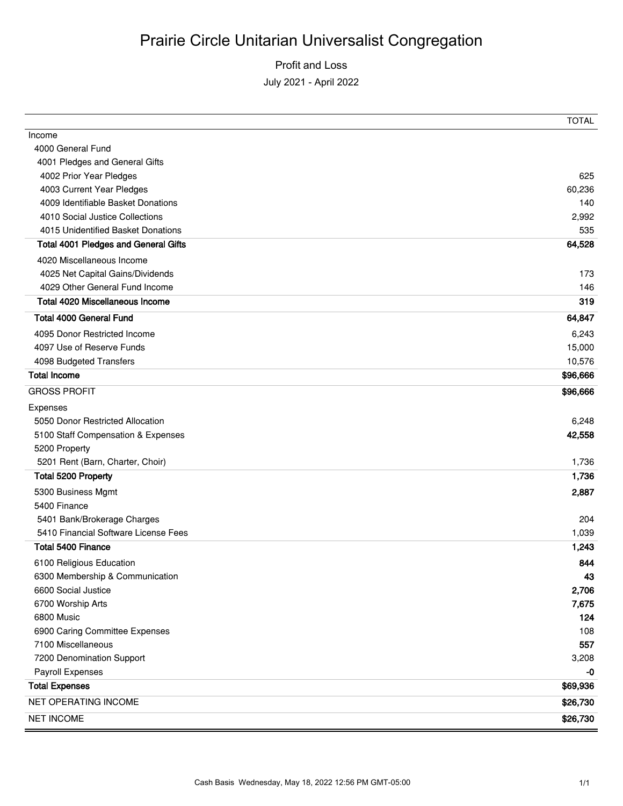# Profit and Loss July 2021 - April 2022

|                                             | <b>TOTAL</b> |
|---------------------------------------------|--------------|
| Income                                      |              |
| 4000 General Fund                           |              |
| 4001 Pledges and General Gifts              |              |
| 4002 Prior Year Pledges                     | 625          |
| 4003 Current Year Pledges                   | 60,236       |
| 4009 Identifiable Basket Donations          | 140          |
| 4010 Social Justice Collections             | 2,992        |
| 4015 Unidentified Basket Donations          | 535          |
| <b>Total 4001 Pledges and General Gifts</b> | 64,528       |
| 4020 Miscellaneous Income                   |              |
| 4025 Net Capital Gains/Dividends            | 173          |
| 4029 Other General Fund Income              | 146          |
| <b>Total 4020 Miscellaneous Income</b>      | 319          |
| <b>Total 4000 General Fund</b>              | 64,847       |
| 4095 Donor Restricted Income                | 6,243        |
| 4097 Use of Reserve Funds                   | 15,000       |
| 4098 Budgeted Transfers                     | 10,576       |
| <b>Total Income</b>                         | \$96,666     |
| <b>GROSS PROFIT</b>                         | \$96,666     |
| Expenses                                    |              |
| 5050 Donor Restricted Allocation            | 6,248        |
| 5100 Staff Compensation & Expenses          | 42,558       |
| 5200 Property                               |              |
| 5201 Rent (Barn, Charter, Choir)            | 1,736        |
| Total 5200 Property                         | 1,736        |
| 5300 Business Mgmt                          | 2,887        |
| 5400 Finance                                |              |
| 5401 Bank/Brokerage Charges                 | 204          |
| 5410 Financial Software License Fees        | 1,039        |
| <b>Total 5400 Finance</b>                   | 1,243        |
| 6100 Religious Education                    | 844          |
| 6300 Membership & Communication             | 43           |
| 6600 Social Justice                         | 2,706        |
| 6700 Worship Arts                           | 7,675        |
| 6800 Music                                  | 124          |
| 6900 Caring Committee Expenses              | 108          |
| 7100 Miscellaneous                          | 557          |
| 7200 Denomination Support                   | 3,208        |
| Payroll Expenses                            | -0           |
| <b>Total Expenses</b>                       | \$69,936     |
| NET OPERATING INCOME                        | \$26,730     |
| <b>NET INCOME</b>                           | \$26,730     |
|                                             |              |